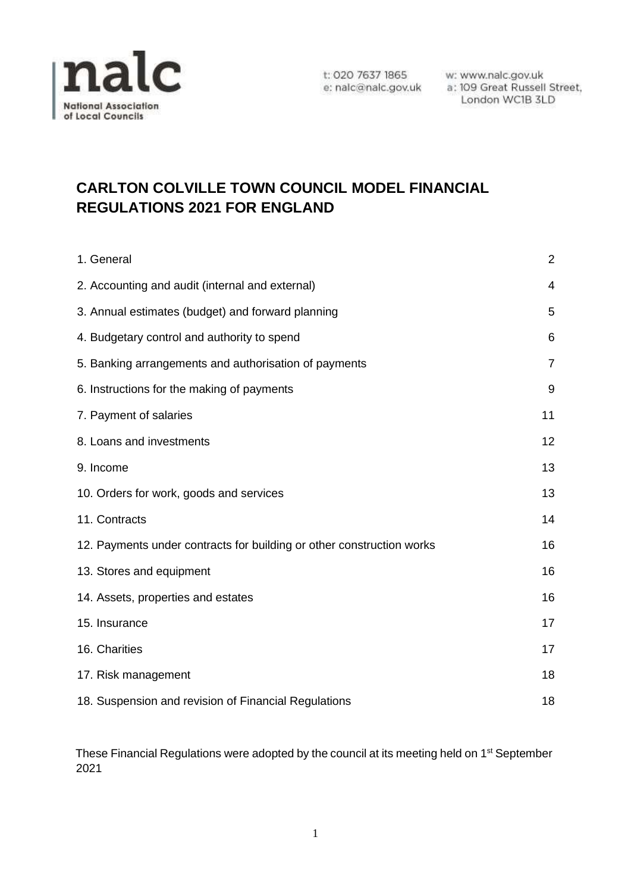

t: 020 7637 1865 w: www.nalc.gov.uk<br>e: nalc@nalc.gov.uk a: 109 Great Russell Street, London WC1B 3LD

# **CARLTON COLVILLE TOWN COUNCIL MODEL FINANCIAL REGULATIONS 2021 FOR ENGLAND**

| 1. General                                                            | $\overline{2}$ |
|-----------------------------------------------------------------------|----------------|
| 2. Accounting and audit (internal and external)                       | 4              |
| 3. Annual estimates (budget) and forward planning                     | 5              |
| 4. Budgetary control and authority to spend                           | 6              |
| 5. Banking arrangements and authorisation of payments                 | $\overline{7}$ |
| 6. Instructions for the making of payments                            | 9              |
| 7. Payment of salaries                                                | 11             |
| 8. Loans and investments                                              | 12             |
| 9. Income                                                             | 13             |
| 10. Orders for work, goods and services                               | 13             |
| 11. Contracts                                                         | 14             |
| 12. Payments under contracts for building or other construction works | 16             |
| 13. Stores and equipment                                              | 16             |
| 14. Assets, properties and estates                                    | 16             |
| 15. Insurance                                                         | 17             |
| 16. Charities                                                         | 17             |
| 17. Risk management                                                   | 18             |
| 18. Suspension and revision of Financial Regulations                  | 18             |

These Financial Regulations were adopted by the council at its meeting held on 1<sup>st</sup> September 2021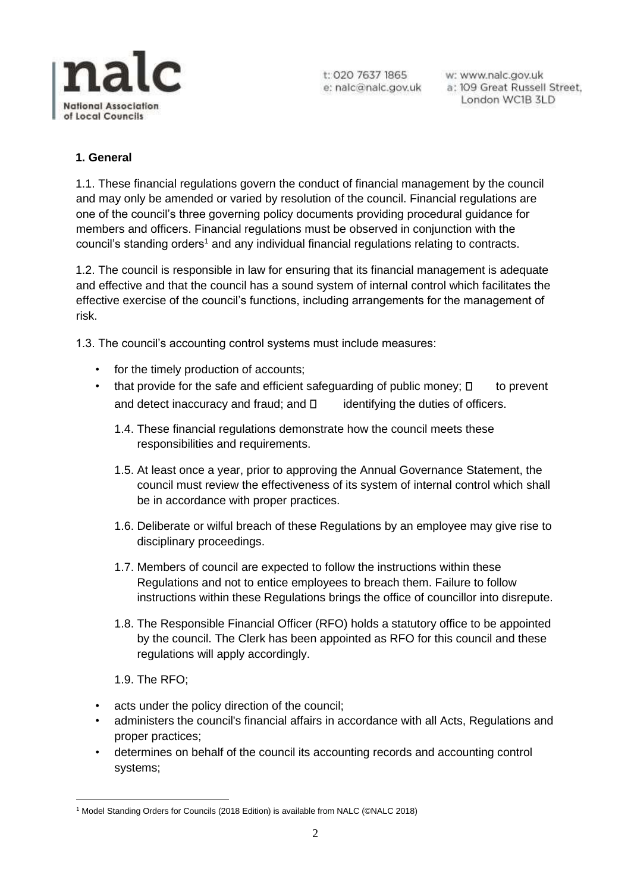

w: www.nalc.gov.uk a: 109 Great Russell Street, London WC1B 3LD

# <span id="page-1-0"></span>**1. General**

1.1. These financial regulations govern the conduct of financial management by the council and may only be amended or varied by resolution of the council. Financial regulations are one of the council's three governing policy documents providing procedural guidance for members and officers. Financial regulations must be observed in conjunction with the council's standing orders<sup>1</sup> and any individual financial regulations relating to contracts.

1.2. The council is responsible in law for ensuring that its financial management is adequate and effective and that the council has a sound system of internal control which facilitates the effective exercise of the council's functions, including arrangements for the management of risk.

1.3. The council's accounting control systems must include measures:

- for the timely production of accounts;
- that provide for the safe and efficient safeguarding of public money;  $\Box$  to prevent and detect inaccuracy and fraud; and  $\Box$  identifying the duties of officers.
	- 1.4. These financial regulations demonstrate how the council meets these responsibilities and requirements.
	- 1.5. At least once a year, prior to approving the Annual Governance Statement, the council must review the effectiveness of its system of internal control which shall be in accordance with proper practices.
	- 1.6. Deliberate or wilful breach of these Regulations by an employee may give rise to disciplinary proceedings.
	- 1.7. Members of council are expected to follow the instructions within these Regulations and not to entice employees to breach them. Failure to follow instructions within these Regulations brings the office of councillor into disrepute.
	- 1.8. The Responsible Financial Officer (RFO) holds a statutory office to be appointed by the council. The Clerk has been appointed as RFO for this council and these regulations will apply accordingly.

1.9. The RFO;

- acts under the policy direction of the council;
- administers the council's financial affairs in accordance with all Acts, Regulations and proper practices;
- determines on behalf of the council its accounting records and accounting control systems;

<sup>1</sup> Model Standing Orders for Councils (2018 Edition) is available from NALC (©NALC 2018)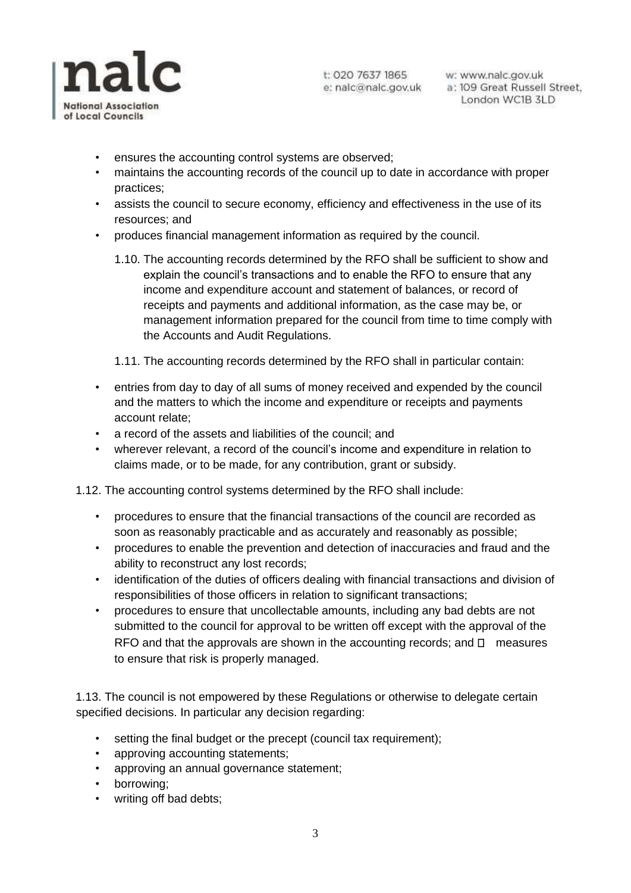

w: www.nalc.gov.uk a: 109 Great Russell Street, London WC1B 3LD

- ensures the accounting control systems are observed:
- maintains the accounting records of the council up to date in accordance with proper practices;
- assists the council to secure economy, efficiency and effectiveness in the use of its resources; and
- produces financial management information as required by the council.
	- 1.10. The accounting records determined by the RFO shall be sufficient to show and explain the council's transactions and to enable the RFO to ensure that any income and expenditure account and statement of balances, or record of receipts and payments and additional information, as the case may be, or management information prepared for the council from time to time comply with the Accounts and Audit Regulations.
	- 1.11. The accounting records determined by the RFO shall in particular contain:
- entries from day to day of all sums of money received and expended by the council and the matters to which the income and expenditure or receipts and payments account relate;
- a record of the assets and liabilities of the council; and
- wherever relevant, a record of the council's income and expenditure in relation to claims made, or to be made, for any contribution, grant or subsidy.
- 1.12. The accounting control systems determined by the RFO shall include:
	- procedures to ensure that the financial transactions of the council are recorded as soon as reasonably practicable and as accurately and reasonably as possible;
	- procedures to enable the prevention and detection of inaccuracies and fraud and the ability to reconstruct any lost records;
	- identification of the duties of officers dealing with financial transactions and division of responsibilities of those officers in relation to significant transactions;
	- procedures to ensure that uncollectable amounts, including any bad debts are not submitted to the council for approval to be written off except with the approval of the RFO and that the approvals are shown in the accounting records; and  $\Box$  measures to ensure that risk is properly managed.

1.13. The council is not empowered by these Regulations or otherwise to delegate certain specified decisions. In particular any decision regarding:

- setting the final budget or the precept (council tax requirement);
- approving accounting statements;
- approving an annual governance statement;
- borrowing;
- writing off bad debts;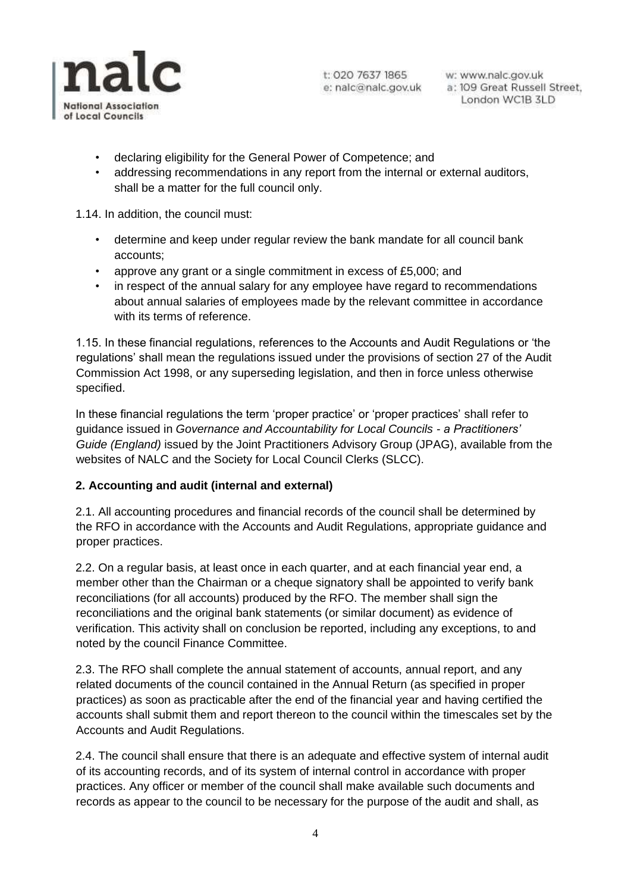

w: www.nalc.gov.uk a: 109 Great Russell Street, London WC1B 3LD

- declaring eligibility for the General Power of Competence; and
- addressing recommendations in any report from the internal or external auditors, shall be a matter for the full council only.

1.14. In addition, the council must:

- determine and keep under regular review the bank mandate for all council bank accounts;
- approve any grant or a single commitment in excess of £5,000; and
- in respect of the annual salary for any employee have regard to recommendations about annual salaries of employees made by the relevant committee in accordance with its terms of reference.

1.15. In these financial regulations, references to the Accounts and Audit Regulations or 'the regulations' shall mean the regulations issued under the provisions of section 27 of the Audit Commission Act 1998, or any superseding legislation, and then in force unless otherwise specified.

In these financial regulations the term 'proper practice' or 'proper practices' shall refer to guidance issued in *Governance and Accountability for Local Councils - a Practitioners' Guide (England)* issued by the Joint Practitioners Advisory Group (JPAG), available from the websites of NALC and the Society for Local Council Clerks (SLCC).

# <span id="page-3-0"></span>**2. Accounting and audit (internal and external)**

2.1. All accounting procedures and financial records of the council shall be determined by the RFO in accordance with the Accounts and Audit Regulations, appropriate guidance and proper practices.

2.2. On a regular basis, at least once in each quarter, and at each financial year end, a member other than the Chairman or a cheque signatory shall be appointed to verify bank reconciliations (for all accounts) produced by the RFO. The member shall sign the reconciliations and the original bank statements (or similar document) as evidence of verification. This activity shall on conclusion be reported, including any exceptions, to and noted by the council Finance Committee.

2.3. The RFO shall complete the annual statement of accounts, annual report, and any related documents of the council contained in the Annual Return (as specified in proper practices) as soon as practicable after the end of the financial year and having certified the accounts shall submit them and report thereon to the council within the timescales set by the Accounts and Audit Regulations.

2.4. The council shall ensure that there is an adequate and effective system of internal audit of its accounting records, and of its system of internal control in accordance with proper practices. Any officer or member of the council shall make available such documents and records as appear to the council to be necessary for the purpose of the audit and shall, as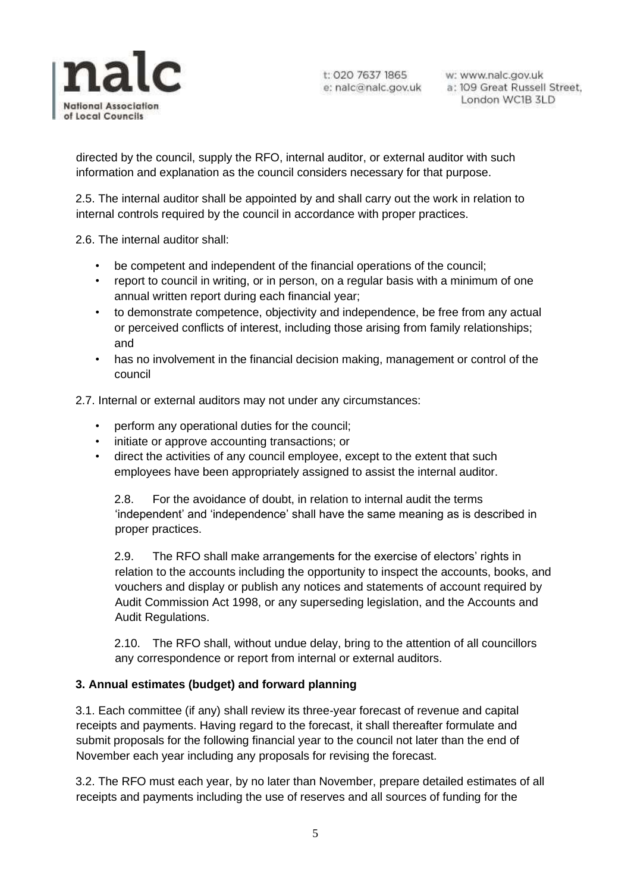

w: www.nalc.gov.uk a: 109 Great Russell Street, London WC1B 3LD

directed by the council, supply the RFO, internal auditor, or external auditor with such information and explanation as the council considers necessary for that purpose.

2.5. The internal auditor shall be appointed by and shall carry out the work in relation to internal controls required by the council in accordance with proper practices.

2.6. The internal auditor shall:

- be competent and independent of the financial operations of the council;
- report to council in writing, or in person, on a regular basis with a minimum of one annual written report during each financial year;
- to demonstrate competence, objectivity and independence, be free from any actual or perceived conflicts of interest, including those arising from family relationships; and
- has no involvement in the financial decision making, management or control of the council

2.7. Internal or external auditors may not under any circumstances:

- perform any operational duties for the council;
- initiate or approve accounting transactions; or
- direct the activities of any council employee, except to the extent that such employees have been appropriately assigned to assist the internal auditor.

2.8. For the avoidance of doubt, in relation to internal audit the terms 'independent' and 'independence' shall have the same meaning as is described in proper practices.

2.9. The RFO shall make arrangements for the exercise of electors' rights in relation to the accounts including the opportunity to inspect the accounts, books, and vouchers and display or publish any notices and statements of account required by Audit Commission Act 1998, or any superseding legislation, and the Accounts and Audit Regulations.

2.10. The RFO shall, without undue delay, bring to the attention of all councillors any correspondence or report from internal or external auditors.

# <span id="page-4-0"></span>**3. Annual estimates (budget) and forward planning**

3.1. Each committee (if any) shall review its three-year forecast of revenue and capital receipts and payments. Having regard to the forecast, it shall thereafter formulate and submit proposals for the following financial year to the council not later than the end of November each year including any proposals for revising the forecast.

3.2. The RFO must each year, by no later than November, prepare detailed estimates of all receipts and payments including the use of reserves and all sources of funding for the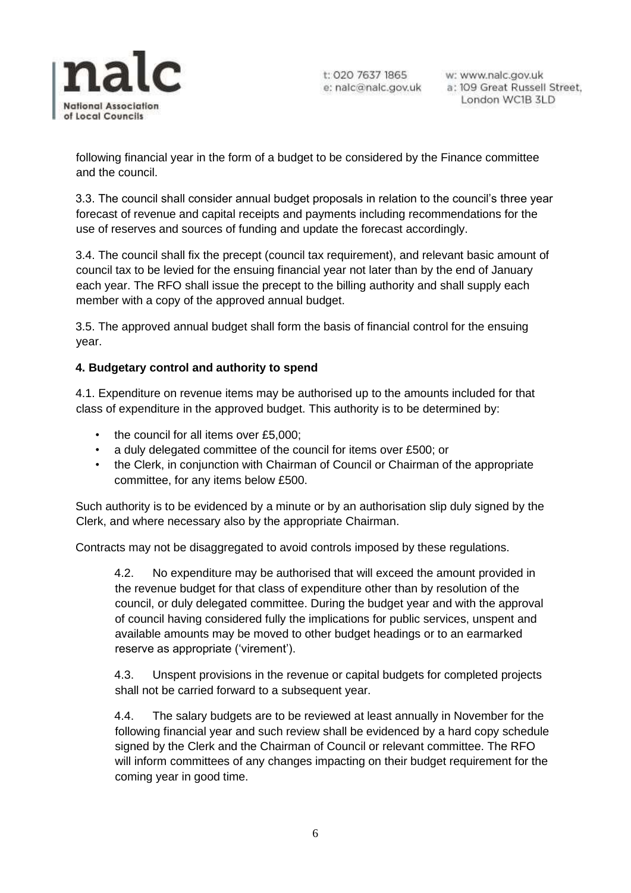

w: www.nalc.gov.uk a: 109 Great Russell Street, London WC1B 3LD

following financial year in the form of a budget to be considered by the Finance committee and the council.

3.3. The council shall consider annual budget proposals in relation to the council's three year forecast of revenue and capital receipts and payments including recommendations for the use of reserves and sources of funding and update the forecast accordingly.

3.4. The council shall fix the precept (council tax requirement), and relevant basic amount of council tax to be levied for the ensuing financial year not later than by the end of January each year. The RFO shall issue the precept to the billing authority and shall supply each member with a copy of the approved annual budget.

3.5. The approved annual budget shall form the basis of financial control for the ensuing year.

#### <span id="page-5-0"></span>**4. Budgetary control and authority to spend**

4.1. Expenditure on revenue items may be authorised up to the amounts included for that class of expenditure in the approved budget. This authority is to be determined by:

- the council for all items over £5,000;
- a duly delegated committee of the council for items over £500; or
- the Clerk, in conjunction with Chairman of Council or Chairman of the appropriate committee, for any items below £500.

Such authority is to be evidenced by a minute or by an authorisation slip duly signed by the Clerk, and where necessary also by the appropriate Chairman.

Contracts may not be disaggregated to avoid controls imposed by these regulations.

4.2. No expenditure may be authorised that will exceed the amount provided in the revenue budget for that class of expenditure other than by resolution of the council, or duly delegated committee. During the budget year and with the approval of council having considered fully the implications for public services, unspent and available amounts may be moved to other budget headings or to an earmarked reserve as appropriate ('virement').

4.3. Unspent provisions in the revenue or capital budgets for completed projects shall not be carried forward to a subsequent year.

4.4. The salary budgets are to be reviewed at least annually in November for the following financial year and such review shall be evidenced by a hard copy schedule signed by the Clerk and the Chairman of Council or relevant committee. The RFO will inform committees of any changes impacting on their budget requirement for the coming year in good time.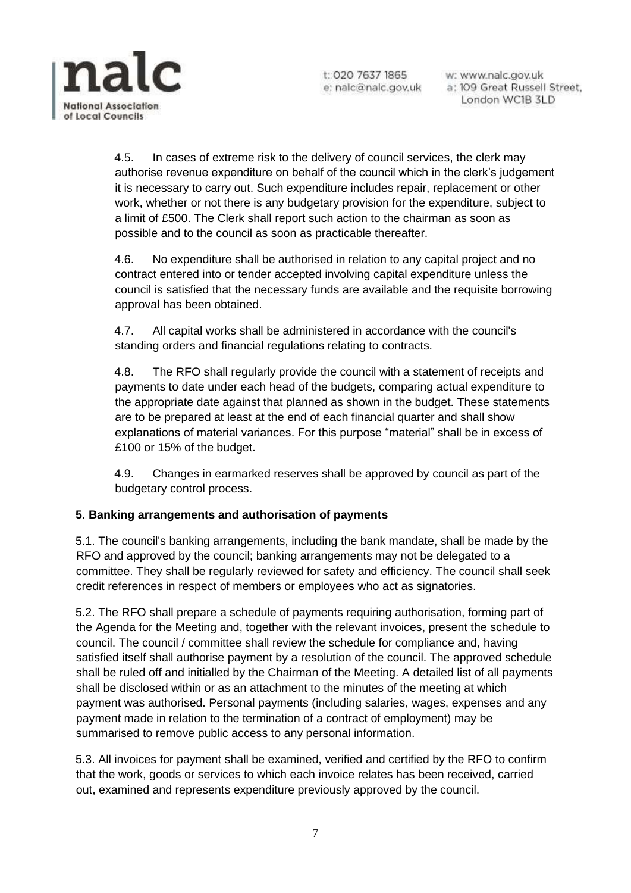

w: www.nalc.gov.uk a: 109 Great Russell Street, London WC1B 3LD

4.5. In cases of extreme risk to the delivery of council services, the clerk may authorise revenue expenditure on behalf of the council which in the clerk's judgement it is necessary to carry out. Such expenditure includes repair, replacement or other work, whether or not there is any budgetary provision for the expenditure, subject to a limit of £500. The Clerk shall report such action to the chairman as soon as possible and to the council as soon as practicable thereafter.

4.6. No expenditure shall be authorised in relation to any capital project and no contract entered into or tender accepted involving capital expenditure unless the council is satisfied that the necessary funds are available and the requisite borrowing approval has been obtained.

4.7. All capital works shall be administered in accordance with the council's standing orders and financial regulations relating to contracts.

4.8. The RFO shall regularly provide the council with a statement of receipts and payments to date under each head of the budgets, comparing actual expenditure to the appropriate date against that planned as shown in the budget. These statements are to be prepared at least at the end of each financial quarter and shall show explanations of material variances. For this purpose "material" shall be in excess of £100 or 15% of the budget.

4.9. Changes in earmarked reserves shall be approved by council as part of the budgetary control process.

# <span id="page-6-0"></span>**5. Banking arrangements and authorisation of payments**

5.1. The council's banking arrangements, including the bank mandate, shall be made by the RFO and approved by the council; banking arrangements may not be delegated to a committee. They shall be regularly reviewed for safety and efficiency. The council shall seek credit references in respect of members or employees who act as signatories.

5.2. The RFO shall prepare a schedule of payments requiring authorisation, forming part of the Agenda for the Meeting and, together with the relevant invoices, present the schedule to council. The council / committee shall review the schedule for compliance and, having satisfied itself shall authorise payment by a resolution of the council. The approved schedule shall be ruled off and initialled by the Chairman of the Meeting. A detailed list of all payments shall be disclosed within or as an attachment to the minutes of the meeting at which payment was authorised. Personal payments (including salaries, wages, expenses and any payment made in relation to the termination of a contract of employment) may be summarised to remove public access to any personal information.

5.3. All invoices for payment shall be examined, verified and certified by the RFO to confirm that the work, goods or services to which each invoice relates has been received, carried out, examined and represents expenditure previously approved by the council.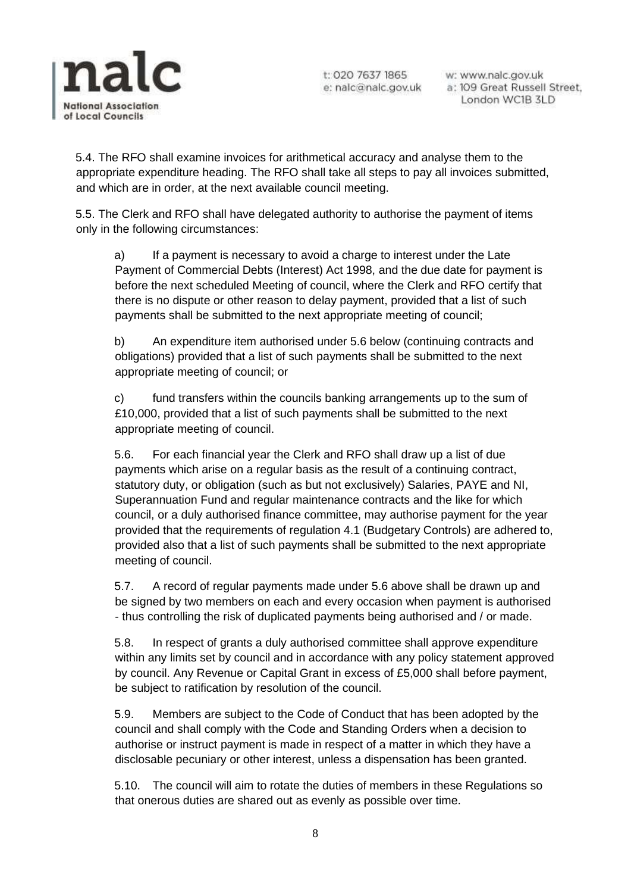

w: www.nalc.gov.uk a: 109 Great Russell Street, London WC1B 3LD

5.4. The RFO shall examine invoices for arithmetical accuracy and analyse them to the appropriate expenditure heading. The RFO shall take all steps to pay all invoices submitted, and which are in order, at the next available council meeting.

5.5. The Clerk and RFO shall have delegated authority to authorise the payment of items only in the following circumstances:

a) If a payment is necessary to avoid a charge to interest under the Late Payment of Commercial Debts (Interest) Act 1998, and the due date for payment is before the next scheduled Meeting of council, where the Clerk and RFO certify that there is no dispute or other reason to delay payment, provided that a list of such payments shall be submitted to the next appropriate meeting of council;

b) An expenditure item authorised under 5.6 below (continuing contracts and obligations) provided that a list of such payments shall be submitted to the next appropriate meeting of council; or

c) fund transfers within the councils banking arrangements up to the sum of £10,000, provided that a list of such payments shall be submitted to the next appropriate meeting of council.

5.6. For each financial year the Clerk and RFO shall draw up a list of due payments which arise on a regular basis as the result of a continuing contract, statutory duty, or obligation (such as but not exclusively) Salaries, PAYE and NI, Superannuation Fund and regular maintenance contracts and the like for which council, or a duly authorised finance committee, may authorise payment for the year provided that the requirements of regulation 4.1 (Budgetary Controls) are adhered to, provided also that a list of such payments shall be submitted to the next appropriate meeting of council.

5.7. A record of regular payments made under 5.6 above shall be drawn up and be signed by two members on each and every occasion when payment is authorised - thus controlling the risk of duplicated payments being authorised and / or made.

5.8. In respect of grants a duly authorised committee shall approve expenditure within any limits set by council and in accordance with any policy statement approved by council. Any Revenue or Capital Grant in excess of £5,000 shall before payment, be subject to ratification by resolution of the council.

5.9. Members are subject to the Code of Conduct that has been adopted by the council and shall comply with the Code and Standing Orders when a decision to authorise or instruct payment is made in respect of a matter in which they have a disclosable pecuniary or other interest, unless a dispensation has been granted.

5.10. The council will aim to rotate the duties of members in these Regulations so that onerous duties are shared out as evenly as possible over time.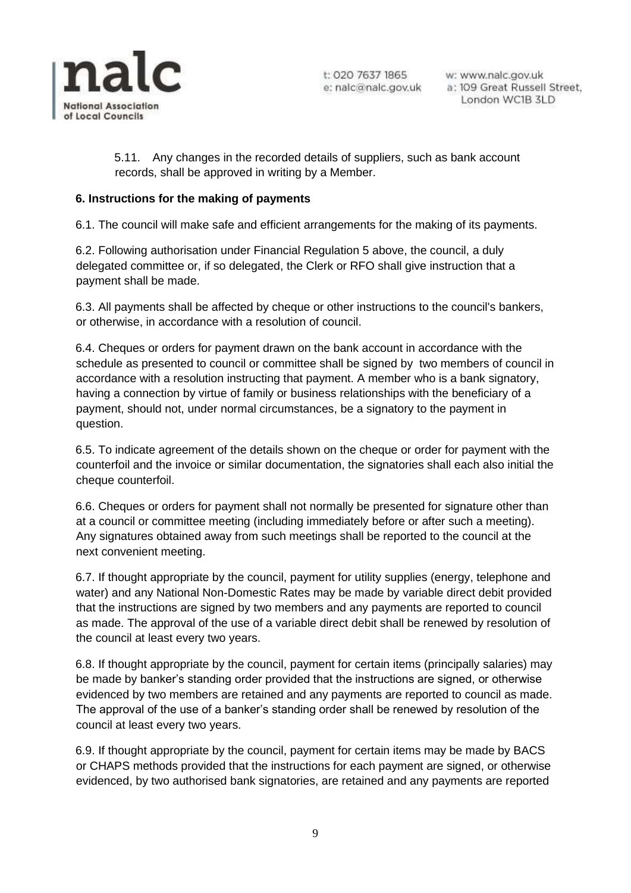

w: www.nalc.gov.uk a: 109 Great Russell Street, London WC1B 3LD

5.11. Any changes in the recorded details of suppliers, such as bank account records, shall be approved in writing by a Member.

## <span id="page-8-0"></span>**6. Instructions for the making of payments**

6.1. The council will make safe and efficient arrangements for the making of its payments.

6.2. Following authorisation under Financial Regulation 5 above, the council, a duly delegated committee or, if so delegated, the Clerk or RFO shall give instruction that a payment shall be made.

6.3. All payments shall be affected by cheque or other instructions to the council's bankers, or otherwise, in accordance with a resolution of council.

6.4. Cheques or orders for payment drawn on the bank account in accordance with the schedule as presented to council or committee shall be signed by two members of council in accordance with a resolution instructing that payment. A member who is a bank signatory, having a connection by virtue of family or business relationships with the beneficiary of a payment, should not, under normal circumstances, be a signatory to the payment in question.

6.5. To indicate agreement of the details shown on the cheque or order for payment with the counterfoil and the invoice or similar documentation, the signatories shall each also initial the cheque counterfoil.

6.6. Cheques or orders for payment shall not normally be presented for signature other than at a council or committee meeting (including immediately before or after such a meeting). Any signatures obtained away from such meetings shall be reported to the council at the next convenient meeting.

6.7. If thought appropriate by the council, payment for utility supplies (energy, telephone and water) and any National Non-Domestic Rates may be made by variable direct debit provided that the instructions are signed by two members and any payments are reported to council as made. The approval of the use of a variable direct debit shall be renewed by resolution of the council at least every two years.

6.8. If thought appropriate by the council, payment for certain items (principally salaries) may be made by banker's standing order provided that the instructions are signed, or otherwise evidenced by two members are retained and any payments are reported to council as made. The approval of the use of a banker's standing order shall be renewed by resolution of the council at least every two years.

6.9. If thought appropriate by the council, payment for certain items may be made by BACS or CHAPS methods provided that the instructions for each payment are signed, or otherwise evidenced, by two authorised bank signatories, are retained and any payments are reported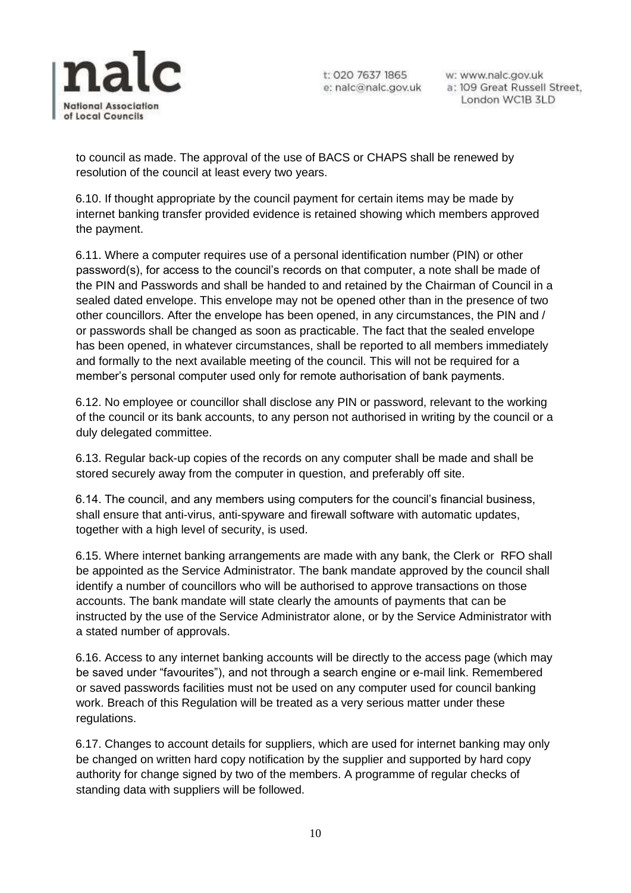

w: www.nalc.gov.uk a: 109 Great Russell Street, London WC1B 3LD

to council as made. The approval of the use of BACS or CHAPS shall be renewed by resolution of the council at least every two years.

6.10. If thought appropriate by the council payment for certain items may be made by internet banking transfer provided evidence is retained showing which members approved the payment.

6.11. Where a computer requires use of a personal identification number (PIN) or other password(s), for access to the council's records on that computer, a note shall be made of the PIN and Passwords and shall be handed to and retained by the Chairman of Council in a sealed dated envelope. This envelope may not be opened other than in the presence of two other councillors. After the envelope has been opened, in any circumstances, the PIN and / or passwords shall be changed as soon as practicable. The fact that the sealed envelope has been opened, in whatever circumstances, shall be reported to all members immediately and formally to the next available meeting of the council. This will not be required for a member's personal computer used only for remote authorisation of bank payments.

6.12. No employee or councillor shall disclose any PIN or password, relevant to the working of the council or its bank accounts, to any person not authorised in writing by the council or a duly delegated committee.

6.13. Regular back-up copies of the records on any computer shall be made and shall be stored securely away from the computer in question, and preferably off site.

6.14. The council, and any members using computers for the council's financial business, shall ensure that anti-virus, anti-spyware and firewall software with automatic updates, together with a high level of security, is used.

6.15. Where internet banking arrangements are made with any bank, the Clerk or RFO shall be appointed as the Service Administrator. The bank mandate approved by the council shall identify a number of councillors who will be authorised to approve transactions on those accounts. The bank mandate will state clearly the amounts of payments that can be instructed by the use of the Service Administrator alone, or by the Service Administrator with a stated number of approvals.

6.16. Access to any internet banking accounts will be directly to the access page (which may be saved under "favourites"), and not through a search engine or e-mail link. Remembered or saved passwords facilities must not be used on any computer used for council banking work. Breach of this Regulation will be treated as a very serious matter under these regulations.

6.17. Changes to account details for suppliers, which are used for internet banking may only be changed on written hard copy notification by the supplier and supported by hard copy authority for change signed by two of the members. A programme of regular checks of standing data with suppliers will be followed.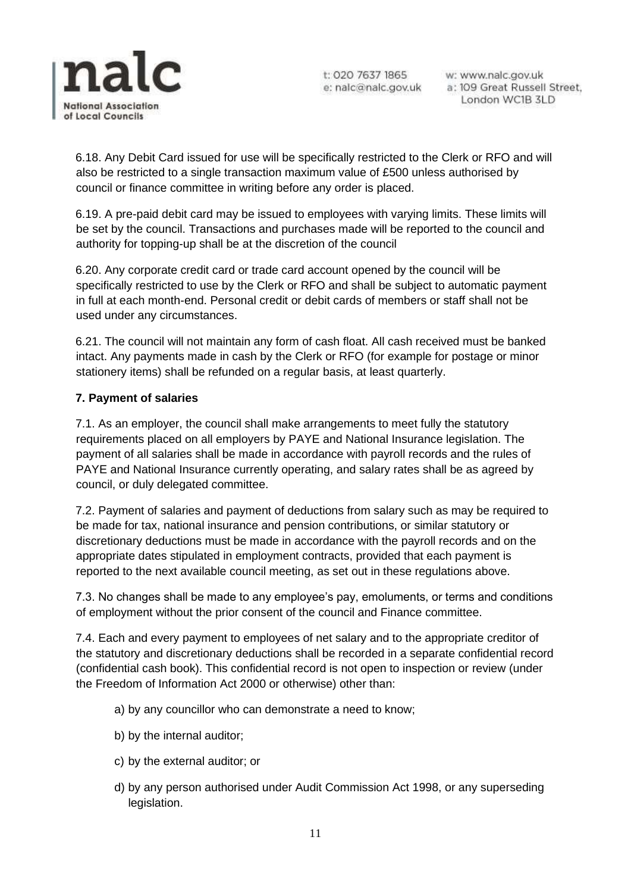

w: www.nalc.gov.uk a: 109 Great Russell Street, London WC1B 3LD

6.18. Any Debit Card issued for use will be specifically restricted to the Clerk or RFO and will also be restricted to a single transaction maximum value of £500 unless authorised by council or finance committee in writing before any order is placed.

6.19. A pre-paid debit card may be issued to employees with varying limits. These limits will be set by the council. Transactions and purchases made will be reported to the council and authority for topping-up shall be at the discretion of the council

6.20. Any corporate credit card or trade card account opened by the council will be specifically restricted to use by the Clerk or RFO and shall be subject to automatic payment in full at each month-end. Personal credit or debit cards of members or staff shall not be used under any circumstances.

6.21. The council will not maintain any form of cash float. All cash received must be banked intact. Any payments made in cash by the Clerk or RFO (for example for postage or minor stationery items) shall be refunded on a regular basis, at least quarterly.

#### <span id="page-10-0"></span>**7. Payment of salaries**

7.1. As an employer, the council shall make arrangements to meet fully the statutory requirements placed on all employers by PAYE and National Insurance legislation. The payment of all salaries shall be made in accordance with payroll records and the rules of PAYE and National Insurance currently operating, and salary rates shall be as agreed by council, or duly delegated committee.

7.2. Payment of salaries and payment of deductions from salary such as may be required to be made for tax, national insurance and pension contributions, or similar statutory or discretionary deductions must be made in accordance with the payroll records and on the appropriate dates stipulated in employment contracts, provided that each payment is reported to the next available council meeting, as set out in these regulations above.

7.3. No changes shall be made to any employee's pay, emoluments, or terms and conditions of employment without the prior consent of the council and Finance committee.

7.4. Each and every payment to employees of net salary and to the appropriate creditor of the statutory and discretionary deductions shall be recorded in a separate confidential record (confidential cash book). This confidential record is not open to inspection or review (under the Freedom of Information Act 2000 or otherwise) other than:

- a) by any councillor who can demonstrate a need to know;
- b) by the internal auditor;
- c) by the external auditor; or
- d) by any person authorised under Audit Commission Act 1998, or any superseding legislation.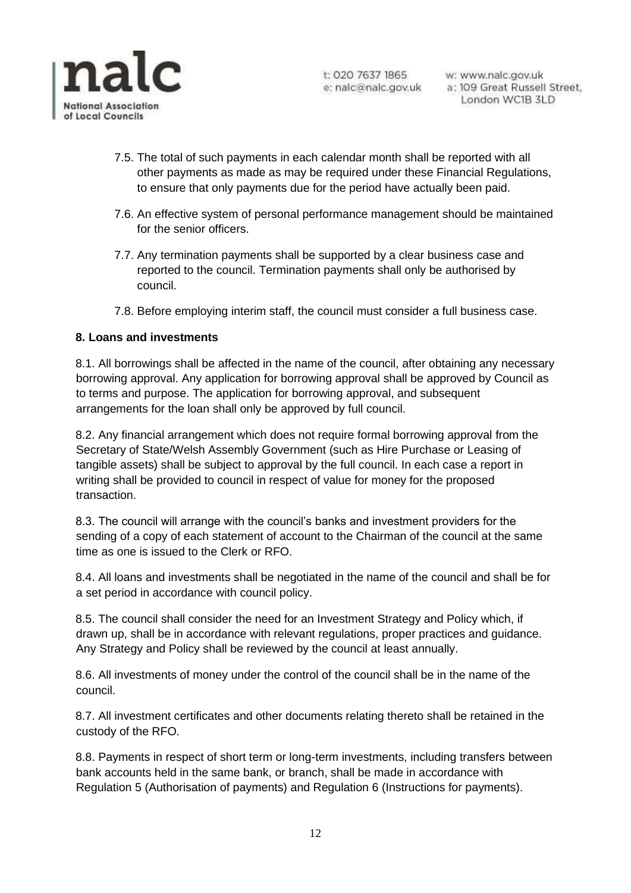

w: www.nalc.gov.uk a: 109 Great Russell Street, London WC1B 3LD

- 7.5. The total of such payments in each calendar month shall be reported with all other payments as made as may be required under these Financial Regulations, to ensure that only payments due for the period have actually been paid.
- 7.6. An effective system of personal performance management should be maintained for the senior officers.
- 7.7. Any termination payments shall be supported by a clear business case and reported to the council. Termination payments shall only be authorised by council.
- 7.8. Before employing interim staff, the council must consider a full business case.

#### <span id="page-11-0"></span>**8. Loans and investments**

8.1. All borrowings shall be affected in the name of the council, after obtaining any necessary borrowing approval. Any application for borrowing approval shall be approved by Council as to terms and purpose. The application for borrowing approval, and subsequent arrangements for the loan shall only be approved by full council.

8.2. Any financial arrangement which does not require formal borrowing approval from the Secretary of State/Welsh Assembly Government (such as Hire Purchase or Leasing of tangible assets) shall be subject to approval by the full council. In each case a report in writing shall be provided to council in respect of value for money for the proposed transaction.

8.3. The council will arrange with the council's banks and investment providers for the sending of a copy of each statement of account to the Chairman of the council at the same time as one is issued to the Clerk or RFO.

8.4. All loans and investments shall be negotiated in the name of the council and shall be for a set period in accordance with council policy.

8.5. The council shall consider the need for an Investment Strategy and Policy which, if drawn up, shall be in accordance with relevant regulations, proper practices and guidance. Any Strategy and Policy shall be reviewed by the council at least annually.

8.6. All investments of money under the control of the council shall be in the name of the council.

8.7. All investment certificates and other documents relating thereto shall be retained in the custody of the RFO.

8.8. Payments in respect of short term or long-term investments, including transfers between bank accounts held in the same bank, or branch, shall be made in accordance with Regulation 5 (Authorisation of payments) and Regulation 6 (Instructions for payments).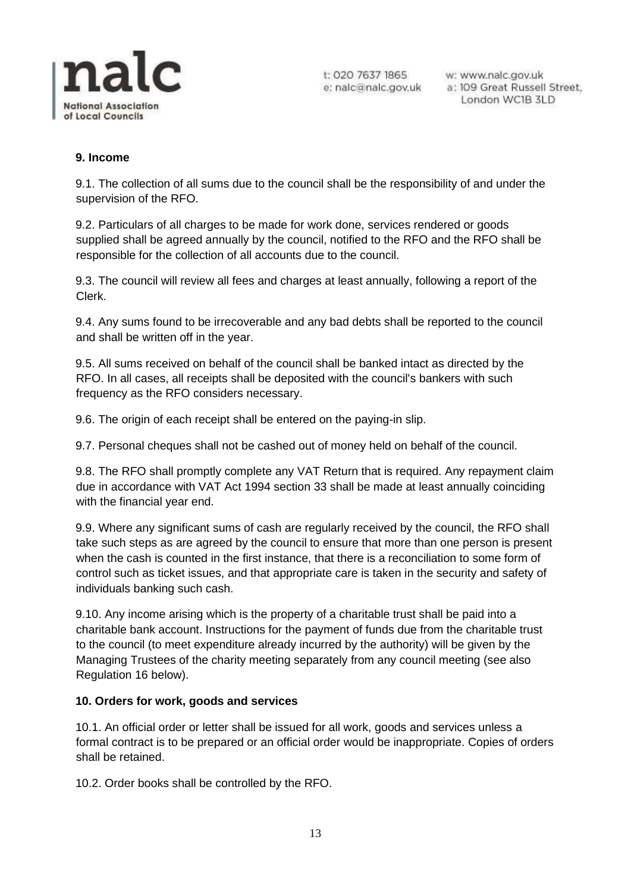

w: www.nalc.gov.uk a: 109 Great Russell Street, London WC1B 3LD

# <span id="page-12-0"></span>**9. Income**

9.1. The collection of all sums due to the council shall be the responsibility of and under the supervision of the RFO.

9.2. Particulars of all charges to be made for work done, services rendered or goods supplied shall be agreed annually by the council, notified to the RFO and the RFO shall be responsible for the collection of all accounts due to the council.

9.3. The council will review all fees and charges at least annually, following a report of the Clerk.

9.4. Any sums found to be irrecoverable and any bad debts shall be reported to the council and shall be written off in the year.

9.5. All sums received on behalf of the council shall be banked intact as directed by the RFO. In all cases, all receipts shall be deposited with the council's bankers with such frequency as the RFO considers necessary.

9.6. The origin of each receipt shall be entered on the paying-in slip.

9.7. Personal cheques shall not be cashed out of money held on behalf of the council.

9.8. The RFO shall promptly complete any VAT Return that is required. Any repayment claim due in accordance with VAT Act 1994 section 33 shall be made at least annually coinciding with the financial year end.

9.9. Where any significant sums of cash are regularly received by the council, the RFO shall take such steps as are agreed by the council to ensure that more than one person is present when the cash is counted in the first instance, that there is a reconciliation to some form of control such as ticket issues, and that appropriate care is taken in the security and safety of individuals banking such cash.

9.10. Any income arising which is the property of a charitable trust shall be paid into a charitable bank account. Instructions for the payment of funds due from the charitable trust to the council (to meet expenditure already incurred by the authority) will be given by the Managing Trustees of the charity meeting separately from any council meeting (see also Regulation 16 below).

# <span id="page-12-1"></span>**10. Orders for work, goods and services**

10.1. An official order or letter shall be issued for all work, goods and services unless a formal contract is to be prepared or an official order would be inappropriate. Copies of orders shall be retained.

10.2. Order books shall be controlled by the RFO.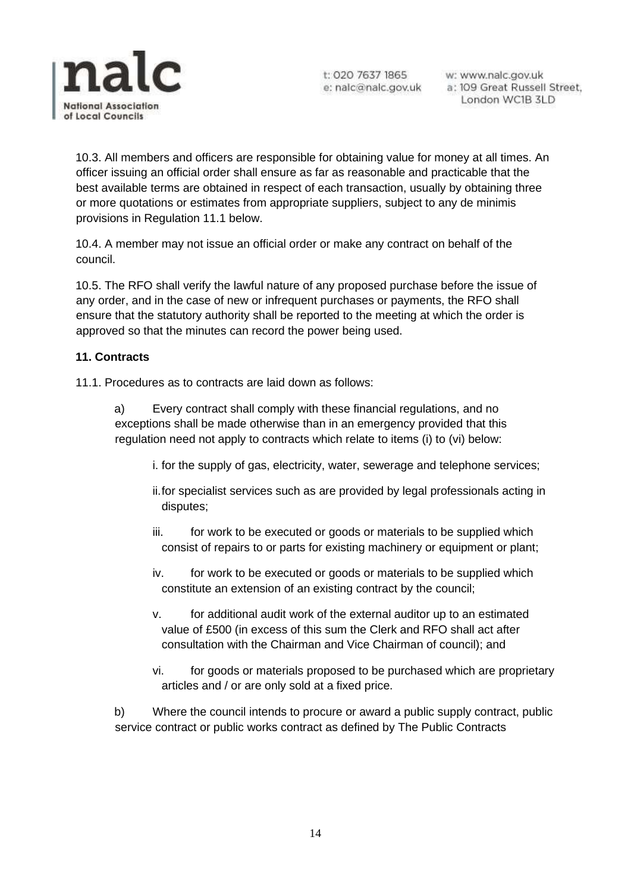

w: www.nalc.gov.uk a: 109 Great Russell Street, London WC1B 3LD

10.3. All members and officers are responsible for obtaining value for money at all times. An officer issuing an official order shall ensure as far as reasonable and practicable that the best available terms are obtained in respect of each transaction, usually by obtaining three or more quotations or estimates from appropriate suppliers, subject to any de minimis provisions in Regulation 11.1 below.

10.4. A member may not issue an official order or make any contract on behalf of the council.

10.5. The RFO shall verify the lawful nature of any proposed purchase before the issue of any order, and in the case of new or infrequent purchases or payments, the RFO shall ensure that the statutory authority shall be reported to the meeting at which the order is approved so that the minutes can record the power being used.

#### <span id="page-13-0"></span>**11. Contracts**

11.1. Procedures as to contracts are laid down as follows:

a) Every contract shall comply with these financial regulations, and no exceptions shall be made otherwise than in an emergency provided that this regulation need not apply to contracts which relate to items (i) to (vi) below:

- i. for the supply of gas, electricity, water, sewerage and telephone services;
- ii.for specialist services such as are provided by legal professionals acting in disputes;
- iii. for work to be executed or goods or materials to be supplied which consist of repairs to or parts for existing machinery or equipment or plant;
- iv. for work to be executed or goods or materials to be supplied which constitute an extension of an existing contract by the council;
- v. for additional audit work of the external auditor up to an estimated value of £500 (in excess of this sum the Clerk and RFO shall act after consultation with the Chairman and Vice Chairman of council); and
- vi. for goods or materials proposed to be purchased which are proprietary articles and / or are only sold at a fixed price.

b) Where the council intends to procure or award a public supply contract, public service contract or public works contract as defined by The Public Contracts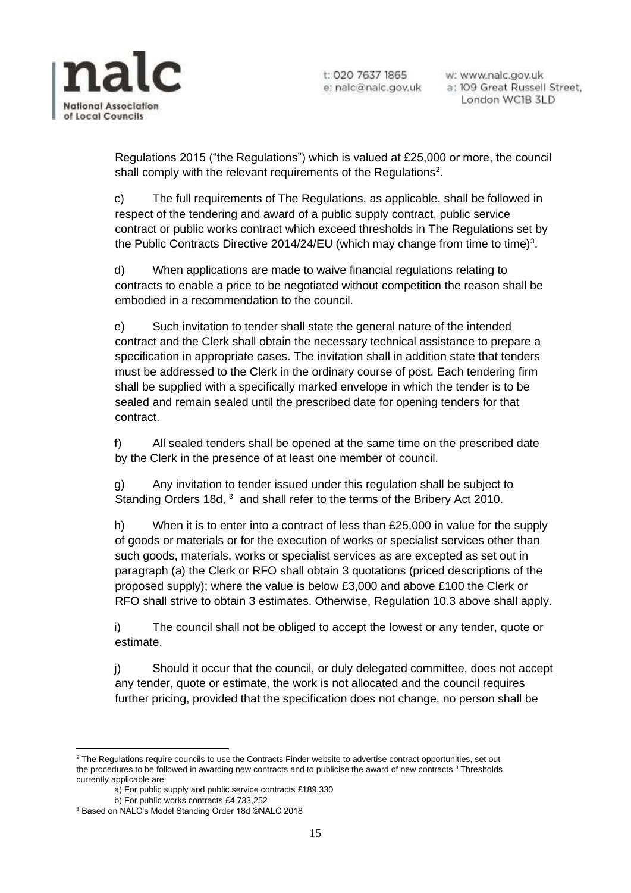

w: www.nalc.gov.uk a: 109 Great Russell Street, London WC1B 3LD

Regulations 2015 ("the Regulations") which is valued at £25,000 or more, the council shall comply with the relevant requirements of the Regulations<sup>2</sup>.

c) The full requirements of The Regulations, as applicable, shall be followed in respect of the tendering and award of a public supply contract, public service contract or public works contract which exceed thresholds in The Regulations set by the Public Contracts Directive 2014/24/EU (which may change from time to time)<sup>3</sup>.

d) When applications are made to waive financial regulations relating to contracts to enable a price to be negotiated without competition the reason shall be embodied in a recommendation to the council.

e) Such invitation to tender shall state the general nature of the intended contract and the Clerk shall obtain the necessary technical assistance to prepare a specification in appropriate cases. The invitation shall in addition state that tenders must be addressed to the Clerk in the ordinary course of post. Each tendering firm shall be supplied with a specifically marked envelope in which the tender is to be sealed and remain sealed until the prescribed date for opening tenders for that contract.

f) All sealed tenders shall be opened at the same time on the prescribed date by the Clerk in the presence of at least one member of council.

g) Any invitation to tender issued under this regulation shall be subject to Standing Orders 18d,  $3$  and shall refer to the terms of the Bribery Act 2010.

h) When it is to enter into a contract of less than £25,000 in value for the supply of goods or materials or for the execution of works or specialist services other than such goods, materials, works or specialist services as are excepted as set out in paragraph (a) the Clerk or RFO shall obtain 3 quotations (priced descriptions of the proposed supply); where the value is below £3,000 and above £100 the Clerk or RFO shall strive to obtain 3 estimates. Otherwise, Regulation 10.3 above shall apply.

i) The council shall not be obliged to accept the lowest or any tender, quote or estimate.

j) Should it occur that the council, or duly delegated committee, does not accept any tender, quote or estimate, the work is not allocated and the council requires further pricing, provided that the specification does not change, no person shall be

<sup>&</sup>lt;sup>2</sup> The Regulations require councils to use the Contracts Finder website to advertise contract opportunities, set out the procedures to be followed in awarding new contracts and to publicise the award of new contracts <sup>3</sup> Thresholds currently applicable are:

a) For public supply and public service contracts £189,330

b) For public works contracts £4,733,252

<sup>3</sup> Based on NALC's Model Standing Order 18d ©NALC 2018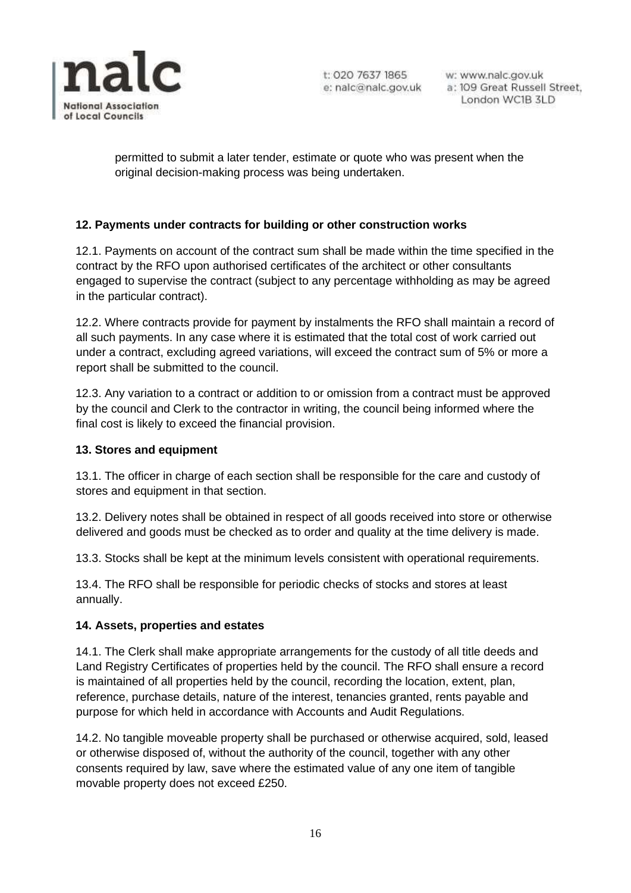

w: www.nalc.gov.uk a: 109 Great Russell Street, London WC1B 3LD

permitted to submit a later tender, estimate or quote who was present when the original decision-making process was being undertaken.

# <span id="page-15-0"></span>**12. Payments under contracts for building or other construction works**

12.1. Payments on account of the contract sum shall be made within the time specified in the contract by the RFO upon authorised certificates of the architect or other consultants engaged to supervise the contract (subject to any percentage withholding as may be agreed in the particular contract).

12.2. Where contracts provide for payment by instalments the RFO shall maintain a record of all such payments. In any case where it is estimated that the total cost of work carried out under a contract, excluding agreed variations, will exceed the contract sum of 5% or more a report shall be submitted to the council.

12.3. Any variation to a contract or addition to or omission from a contract must be approved by the council and Clerk to the contractor in writing, the council being informed where the final cost is likely to exceed the financial provision.

#### <span id="page-15-1"></span>**13. Stores and equipment**

13.1. The officer in charge of each section shall be responsible for the care and custody of stores and equipment in that section.

13.2. Delivery notes shall be obtained in respect of all goods received into store or otherwise delivered and goods must be checked as to order and quality at the time delivery is made.

13.3. Stocks shall be kept at the minimum levels consistent with operational requirements.

13.4. The RFO shall be responsible for periodic checks of stocks and stores at least annually.

#### <span id="page-15-2"></span>**14. Assets, properties and estates**

14.1. The Clerk shall make appropriate arrangements for the custody of all title deeds and Land Registry Certificates of properties held by the council. The RFO shall ensure a record is maintained of all properties held by the council, recording the location, extent, plan, reference, purchase details, nature of the interest, tenancies granted, rents payable and purpose for which held in accordance with Accounts and Audit Regulations.

14.2. No tangible moveable property shall be purchased or otherwise acquired, sold, leased or otherwise disposed of, without the authority of the council, together with any other consents required by law, save where the estimated value of any one item of tangible movable property does not exceed £250.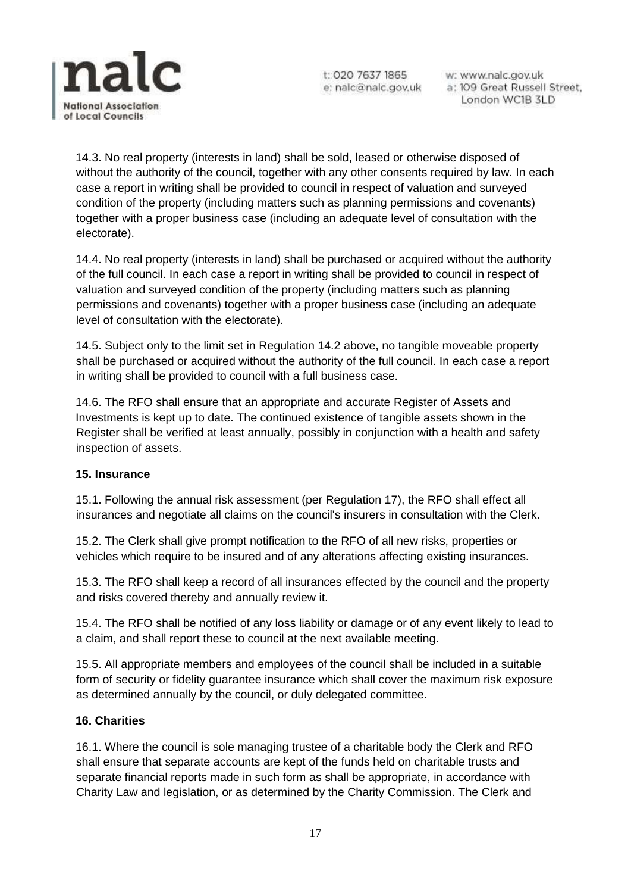

w: www.nalc.gov.uk a: 109 Great Russell Street, London WC1B 3LD

14.3. No real property (interests in land) shall be sold, leased or otherwise disposed of without the authority of the council, together with any other consents required by law. In each case a report in writing shall be provided to council in respect of valuation and surveyed condition of the property (including matters such as planning permissions and covenants) together with a proper business case (including an adequate level of consultation with the electorate).

14.4. No real property (interests in land) shall be purchased or acquired without the authority of the full council. In each case a report in writing shall be provided to council in respect of valuation and surveyed condition of the property (including matters such as planning permissions and covenants) together with a proper business case (including an adequate level of consultation with the electorate).

14.5. Subject only to the limit set in Regulation 14.2 above, no tangible moveable property shall be purchased or acquired without the authority of the full council. In each case a report in writing shall be provided to council with a full business case.

14.6. The RFO shall ensure that an appropriate and accurate Register of Assets and Investments is kept up to date. The continued existence of tangible assets shown in the Register shall be verified at least annually, possibly in conjunction with a health and safety inspection of assets.

# <span id="page-16-0"></span>**15. Insurance**

15.1. Following the annual risk assessment (per Regulation 17), the RFO shall effect all insurances and negotiate all claims on the council's insurers in consultation with the Clerk.

15.2. The Clerk shall give prompt notification to the RFO of all new risks, properties or vehicles which require to be insured and of any alterations affecting existing insurances.

15.3. The RFO shall keep a record of all insurances effected by the council and the property and risks covered thereby and annually review it.

15.4. The RFO shall be notified of any loss liability or damage or of any event likely to lead to a claim, and shall report these to council at the next available meeting.

15.5. All appropriate members and employees of the council shall be included in a suitable form of security or fidelity guarantee insurance which shall cover the maximum risk exposure as determined annually by the council, or duly delegated committee.

#### <span id="page-16-1"></span>**16. Charities**

16.1. Where the council is sole managing trustee of a charitable body the Clerk and RFO shall ensure that separate accounts are kept of the funds held on charitable trusts and separate financial reports made in such form as shall be appropriate, in accordance with Charity Law and legislation, or as determined by the Charity Commission. The Clerk and